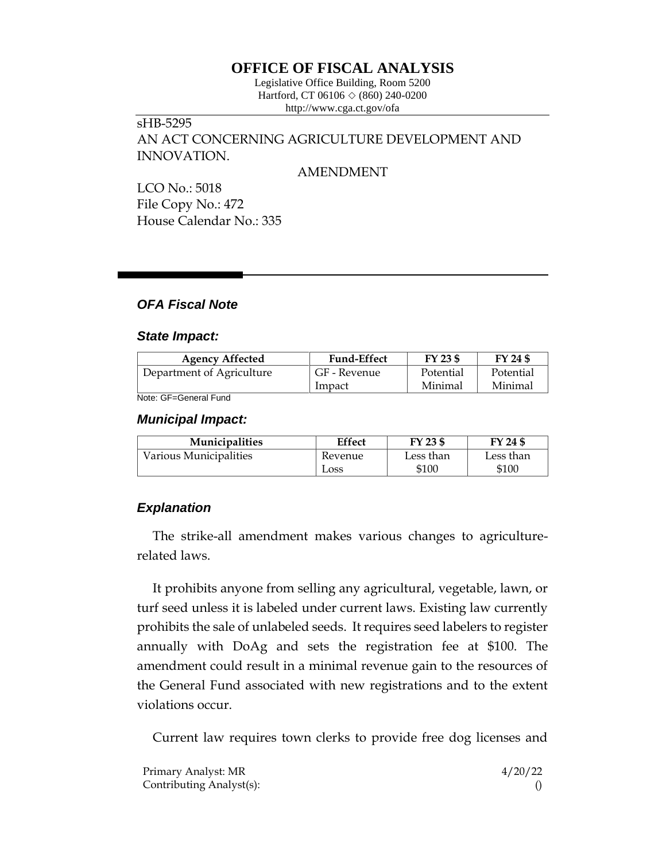# **OFFICE OF FISCAL ANALYSIS**

Legislative Office Building, Room 5200 Hartford, CT 06106  $\Diamond$  (860) 240-0200 http://www.cga.ct.gov/ofa

## sHB-5295 AN ACT CONCERNING AGRICULTURE DEVELOPMENT AND INNOVATION.

### AMENDMENT

LCO No.: 5018 File Copy No.: 472 House Calendar No.: 335

### *OFA Fiscal Note*

### *State Impact:*

| <b>Agency Affected</b>    | <b>Fund-Effect</b> | FY 23 \$  | FY 24 \$  |
|---------------------------|--------------------|-----------|-----------|
| Department of Agriculture | GF - Revenue       | Potential | Potential |
|                           | Impact             | Minimal   | Minimal   |

Note: GF=General Fund

### *Municipal Impact:*

| <b>Municipalities</b>  | Effect  | FY 23 \$  | FY 24 \$  |
|------------------------|---------|-----------|-----------|
| Various Municipalities | Revenue | Less than | Less than |
|                        | Loss    | \$100     | \$100     |

### *Explanation*

The strike-all amendment makes various changes to agriculturerelated laws.

It prohibits anyone from selling any agricultural, vegetable, lawn, or turf seed unless it is labeled under current laws. Existing law currently prohibits the sale of unlabeled seeds. It requires seed labelers to register annually with DoAg and sets the registration fee at \$100. The amendment could result in a minimal revenue gain to the resources of the General Fund associated with new registrations and to the extent violations occur.

Current law requires town clerks to provide free dog licenses and

| Primary Analyst: MR      | 4/20/22 |
|--------------------------|---------|
| Contributing Analyst(s): |         |